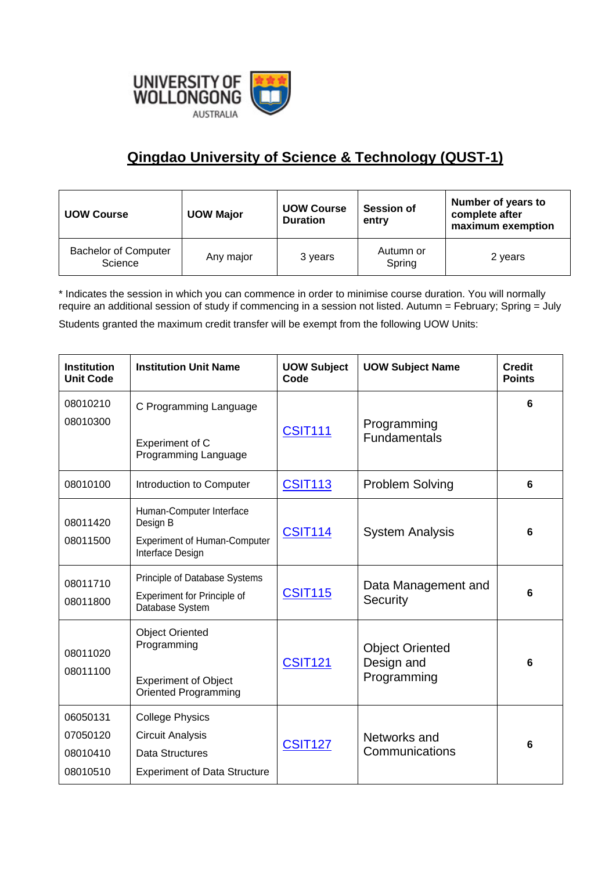

## **Qingdao University of Science & Technology (QUST-1)**

| <b>UOW Course</b>                      | <b>UOW Major</b> | <b>UOW Course</b><br><b>Duration</b> | <b>Session of</b><br>entry | Number of years to<br>complete after<br>maximum exemption |
|----------------------------------------|------------------|--------------------------------------|----------------------------|-----------------------------------------------------------|
| <b>Bachelor of Computer</b><br>Science | Any major        | 3 years                              | Autumn or<br>Spring        | 2 years                                                   |

\* Indicates the session in which you can commence in order to minimise course duration. You will normally require an additional session of study if commencing in a session not listed. Autumn = February; Spring = July

Students granted the maximum credit transfer will be exempt from the following UOW Units:

| <b>Institution</b><br><b>Unit Code</b>       | <b>Institution Unit Name</b>                                                                                       | <b>UOW Subject</b><br>Code | <b>UOW Subject Name</b>                             | <b>Credit</b><br><b>Points</b> |
|----------------------------------------------|--------------------------------------------------------------------------------------------------------------------|----------------------------|-----------------------------------------------------|--------------------------------|
| 08010210<br>08010300                         | C Programming Language<br>Experiment of C<br>Programming Language                                                  | <b>CSIT111</b>             | Programming<br><b>Fundamentals</b>                  | 6                              |
| 08010100                                     | Introduction to Computer                                                                                           | <b>CSIT113</b>             | <b>Problem Solving</b>                              | 6                              |
| 08011420<br>08011500                         | Human-Computer Interface<br>Design B<br><b>Experiment of Human-Computer</b><br>Interface Design                    | <b>CSIT114</b>             | <b>System Analysis</b>                              | 6                              |
| 08011710<br>08011800                         | Principle of Database Systems<br>Experiment for Principle of<br>Database System                                    | <b>CSIT115</b>             | Data Management and<br>Security                     | 6                              |
| 08011020<br>08011100                         | <b>Object Oriented</b><br>Programming<br><b>Experiment of Object</b><br><b>Oriented Programming</b>                | <b>CSIT121</b>             | <b>Object Oriented</b><br>Design and<br>Programming | 6                              |
| 06050131<br>07050120<br>08010410<br>08010510 | <b>College Physics</b><br><b>Circuit Analysis</b><br><b>Data Structures</b><br><b>Experiment of Data Structure</b> | <b>CSIT127</b>             | Networks and<br>Communications                      | 6                              |